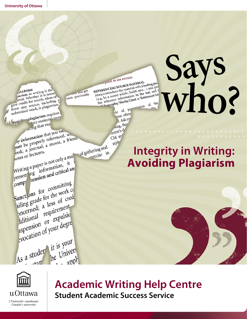**Says** repred as an excuse. repred as an exempt MATERIAL evered as an executive algebra of the search of the REFERENCING SOURCE MATERIAL and property and property and property and property and property and property and interest and is a search of the text and is a search the tex **who?** LEFERENCING SOURCE MATERIA a leading phr **GIARISM**<br>tiarism in writing is the tartism in writing is inter-EFERENCING Solution and Minimized and Property introduce the material white text and interest into the text and interest is the section of the section of the section of the strategy of the strategy of the strategy of the nat you get GIARISM<br>tarism in writing is then<br>erial. Whether it is intent<br>erial. whether it is deas of own previously tiarism in where it is intended<br>
erial. Whether it is intended<br>
give credit for words, ideas or<br>
give credit for words, including erial. Whether<br>erial for words, ideas or<br>give credit for words, ideas or<br>from any source, in plagiarism. ntation of the give credit for work, is plagiarism.<br>from any source, including yle of pre submitted works<br>tycicial plagiarism requires tion often plagiarism required<br>A rce material corre r. Ask yo rce mate sing, the the properly referenced, entre's d' ay information that you take the properly referenced, when ay information that you<br>aust be properly referenced, when the properly a movie, a friend,<br>ook, a journal, a movie, a friend, CM sty style ook, a journal, a movie, a metal<br>ook, a journal, a movie, a metal<br>otes or lectures.<br>Writing a paper is not only a man of gathering and<br>writing a paper is not only a man<br>resent ng information, it **Integrity in Writing:**  exercise in Writing a paper is not only a head<br>writing a paper is not only a head<br>presenting<br>negation and critical at **Avoiding Plagiarism**Writing a paper 18 hot information, it<br>presenting information, it<br>comp comp<br>sanct ons for committing<br>sanct ons for the work contract sanct ons for committing<br>sanct ons for the work constant of the work constant of the work constant anct ons for the work<br>ailing grade for the work<br>ailing grade for the work<br>precedence of cred<br>prequirement iling grade<br>a loss of<br>ditional requirement<br>ditional requirement equirement<br>ditional requirements<br>ation of your degree dditional<br>Ispension of your degre evocation<br>As a studen it is your it is yourself  $\frac{e}{1}$  apply  $-120$ 



**Academic Writing Help Centre Student Academic Success Service**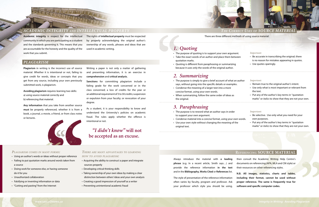**Academic integrity** is respect for the intellectual community in which you are participating as a student and the standards governing it. This means that you are accountable for the honesty and the quality of the work that you submit.

The rights of **intellectual property** must be respected by properly acknowledging the original author's ownership of any words, phrases and ideas that are used in academic writing.

# *ACADEMIC INTEGRITY AND INTELLECTUAL PROPERTY*

## **REFERENCING SOURCE MATERIAL**

Always introduce the material with **a leading phrase** (e.g. In a recent article, Smith says…) and provide the reference information **in the text** and in the **Bibliography, Works Cited** or **References** list.

The style of presentation of the reference information often varies by faculty, program and professor. Ask your professor which style you should be using,

then consult the Academic Writing Help Centre's documents on referencing (APA, MLA and CM style) or their resources on other referencing styles.

**N.B. All images, statistics, charts and tables, including their format, cannot be used without proper reference. The same is frequently true for software and specific computer codes.**

## *PLAGIARISM*

**Plagiarism** in writing is the incorrect use of source material. Whether it is intentional or not, failing to give credit for words, ideas or concepts that you get from any source, including your own previously submitted work, is plagiarism.

**Avoiding plagiarism** requires learning two skills: a) using source material correctly and b) referencing that material.

**Any information** that you take from another source **must** be properly referenced, whether it is from a book, a journal, a movie, a friend, or from class notes or lectures.



- The purpose of quoting is to support your own argum
- Take the exact words of an author and place them bet quotation marks.
- Quoting is different from paraphrasing or summarizin because it uses only the words of the original author.

| าent.<br>tween | Important:<br>• Be accurate in transcribing the original; there<br>is no reason for mistakes appearing in quotes. |
|----------------|-------------------------------------------------------------------------------------------------------------------|
| ١q             | • Use quotes sparingly.                                                                                           |
| an author      | Important:                                                                                                        |
| les.           | • Remain true to the original author's intent.                                                                    |
|                | • Use only what is most important or relevant from<br>the text.                                                   |
|                | • Put any of the author's key terms in "quotation                                                                 |
|                | marks" or italics to show that they are not your own.                                                             |
|                |                                                                                                                   |
| r              | Important:                                                                                                        |
|                | • Be selective. Use only what you need for your                                                                   |
| own words.     | own purposes.                                                                                                     |
| the            | • Put any of the author's key terms in "quotation                                                                 |
|                | marks" or <i>italics</i> to show that they are not your own.                                                      |

Writing a paper is not only a matter of gathering and presenting information, it is an exercise in **comprehension** and **critical analysis.** 

- $\cdot$  The purpose is simply to give a brief account of what says, without going into the specific details or exampl
- Condense the meaning of a larger text into a more concise format, using your own words.
- When summarizing, follow the same order of ideas as the original.

**Sanctions** for committing plagiarism include a failing grade for the work concerned or in the class concerned; a loss of credits for the year or an additional requirement of 3 to 30 credits; suspension or expulsion from your faculty; or revocation of your degree.

As a student, it is your responsibility to know and understand the University's policies on academic fraud. The rules apply whether the offence is intentional or not.

# *"I didn't know"* **will not be accepted as an excuse.**

#### *PLAGIARISM COMES IN MANY FORMS:*

- Using an author's words or ideas without proper reference
- Failing to put quotation marks around words taken from a source
- Doing work for someone else, or having someone do it for you
- Unauthorized collaboration
- Falsifying or inventing information or data
- "Cutting and pasting" from the Internet

*THERE ARE MANY ADVANTAGES TO LEARNING HOW TO AVOID PLAGIARISM:* 

- Acquiring the ability to construct a paper and integrate sources properly
- Developing critical thinking skills
- Taking ownership of your own ideas by making a clear distinction between others' ideas and your own analysis
- Creating a good impression of yourself as a writer
- Preventing unintentional academic fraud

# *1. Quoting*

# *2. Summarizing*

# *3. Paraphrasing*

- The purpose is to reword what an author says in order to support your own argument.
- Condense material into a concise format, using your own
- Use your own style without changing the meaning of original text.



#### There are three different methods of using source material: